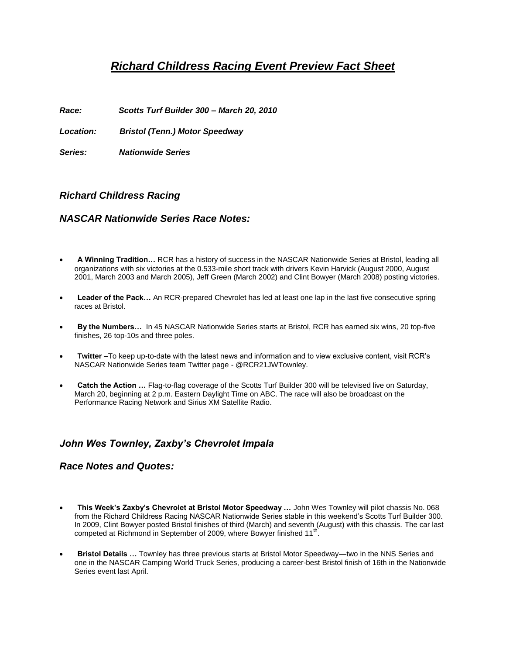# *Richard Childress Racing Event Preview Fact Sheet*

*Race: Scotts Turf Builder 300 – March 20, 2010* 

*Location: Bristol (Tenn.) Motor Speedway* 

*Series: Nationwide Series*

## *Richard Childress Racing*

### *NASCAR Nationwide Series Race Notes:*

- **A Winning Tradition…** RCR has a history of success in the NASCAR Nationwide Series at Bristol, leading all organizations with six victories at the 0.533-mile short track with drivers Kevin Harvick (August 2000, August 2001, March 2003 and March 2005), Jeff Green (March 2002) and Clint Bowyer (March 2008) posting victories.
- **Leader of the Pack…** An RCR-prepared Chevrolet has led at least one lap in the last five consecutive spring races at Bristol.
- **By the Numbers…** In 45 NASCAR Nationwide Series starts at Bristol, RCR has earned six wins, 20 top-five finishes, 26 top-10s and three poles.
- **Twitter –**To keep up-to-date with the latest news and information and to view exclusive content, visit RCR's NASCAR Nationwide Series team Twitter page - @RCR21JWTownley.
- **Catch the Action …** Flag-to-flag coverage of the Scotts Turf Builder 300 will be televised live on Saturday, March 20, beginning at 2 p.m. Eastern Daylight Time on ABC. The race will also be broadcast on the Performance Racing Network and Sirius XM Satellite Radio.

# *John Wes Townley, Zaxby's Chevrolet Impala*

### *Race Notes and Quotes:*

- **This Week's Zaxby's Chevrolet at Bristol Motor Speedway …** John Wes Townley will pilot chassis No. 068 from the Richard Childress Racing NASCAR Nationwide Series stable in this weekend's Scotts Turf Builder 300. In 2009, Clint Bowyer posted Bristol finishes of third (March) and seventh (August) with this chassis. The car last competed at Richmond in September of 2009, where Bowyer finished 11<sup>th</sup>.
- **Bristol Details …** Townley has three previous starts at Bristol Motor Speedway—two in the NNS Series and one in the NASCAR Camping World Truck Series, producing a career-best Bristol finish of 16th in the Nationwide Series event last April.